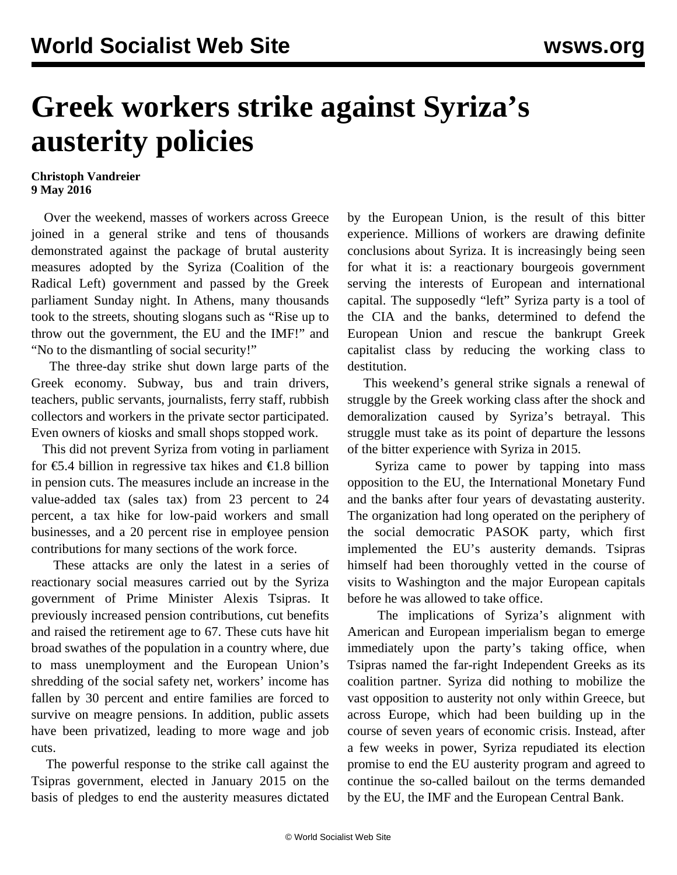## **Greek workers strike against Syriza's austerity policies**

## **Christoph Vandreier 9 May 2016**

 Over the weekend, masses of workers across Greece joined in a general strike and tens of thousands demonstrated against the package of brutal austerity measures adopted by the Syriza (Coalition of the Radical Left) government and passed by the Greek parliament Sunday night. In Athens, many thousands took to the streets, shouting slogans such as "Rise up to throw out the government, the EU and the IMF!" and "No to the dismantling of social security!"

 The three-day strike shut down large parts of the Greek economy. Subway, bus and train drivers, teachers, public servants, journalists, ferry staff, rubbish collectors and workers in the private sector participated. Even owners of kiosks and small shops stopped work.

 This did not prevent Syriza from voting in parliament for  $\epsilon$ 5.4 billion in regressive tax hikes and  $\epsilon$ 1.8 billion in pension cuts. The measures include an increase in the value-added tax (sales tax) from 23 percent to 24 percent, a tax hike for low-paid workers and small businesses, and a 20 percent rise in employee pension contributions for many sections of the work force.

 These attacks are only the latest in a series of reactionary social measures carried out by the Syriza government of Prime Minister Alexis Tsipras. It previously increased pension contributions, cut benefits and raised the retirement age to 67. These cuts have hit broad swathes of the population in a country where, due to mass unemployment and the European Union's shredding of the social safety net, workers' income has fallen by 30 percent and entire families are forced to survive on meagre pensions. In addition, public assets have been privatized, leading to more wage and job cuts.

 The powerful response to the strike call against the Tsipras government, elected in January 2015 on the basis of pledges to end the austerity measures dictated by the European Union, is the result of this bitter experience. Millions of workers are drawing definite conclusions about Syriza. It is increasingly being seen for what it is: a reactionary bourgeois government serving the interests of European and international capital. The supposedly "left" Syriza party is a tool of the CIA and the banks, determined to defend the European Union and rescue the bankrupt Greek capitalist class by reducing the working class to destitution.

 This weekend's general strike signals a renewal of struggle by the Greek working class after the shock and demoralization caused by Syriza's betrayal. This struggle must take as its point of departure the lessons of the bitter experience with Syriza in 2015.

 Syriza came to power by tapping into mass opposition to the EU, the International Monetary Fund and the banks after four years of devastating austerity. The organization had long operated on the periphery of the social democratic PASOK party, which first implemented the EU's austerity demands. Tsipras himself had been thoroughly vetted in the course of visits to Washington and the major European capitals before he was allowed to take office.

 The implications of Syriza's alignment with American and European imperialism began to emerge immediately upon the party's taking office, when Tsipras named the far-right Independent Greeks as its coalition partner. Syriza did nothing to mobilize the vast opposition to austerity not only within Greece, but across Europe, which had been building up in the course of seven years of economic crisis. Instead, after a few weeks in power, Syriza repudiated its election promise to end the EU austerity program and agreed to continue the so-called bailout on the terms demanded by the EU, the IMF and the European Central Bank.